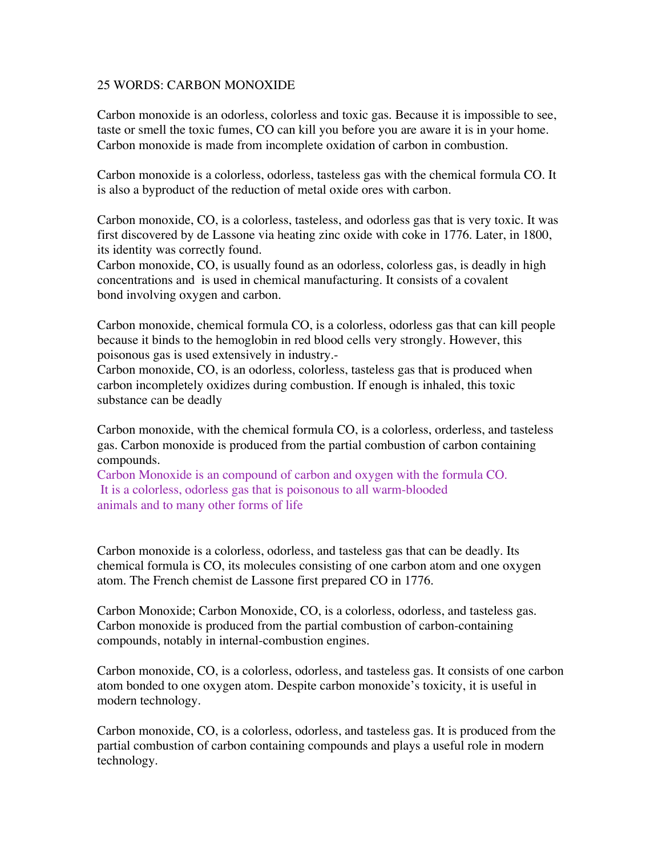## 25 WORDS: CARBON MONOXIDE

Carbon monoxide is an odorless, colorless and toxic gas. Because it is impossible to see, taste or smell the toxic fumes, CO can kill you before you are aware it is in your home. Carbon monoxide is made from incomplete oxidation of carbon in combustion.

Carbon monoxide is a colorless, odorless, tasteless gas with the chemical formula CO. It is also a byproduct of the reduction of metal oxide ores with carbon.

Carbon monoxide, CO, is a colorless, tasteless, and odorless gas that is very toxic. It was first discovered by de Lassone via heating zinc oxide with coke in 1776. Later, in 1800, its identity was correctly found.

Carbon monoxide, CO, is usually found as an odorless, colorless gas, is deadly in high concentrations and is used in chemical manufacturing. It consists of a covalent bond involving oxygen and carbon.

Carbon monoxide, chemical formula CO, is a colorless, odorless gas that can kill people because it binds to the hemoglobin in red blood cells very strongly. However, this poisonous gas is used extensively in industry.-

Carbon monoxide, CO, is an odorless, colorless, tasteless gas that is produced when carbon incompletely oxidizes during combustion. If enough is inhaled, this toxic substance can be deadly

Carbon monoxide, with the chemical formula CO, is a colorless, orderless, and tasteless gas. Carbon monoxide is produced from the partial combustion of carbon containing compounds.

Carbon Monoxide is an compound of carbon and oxygen with the formula CO. It is a colorless, odorless gas that is poisonous to all warm-blooded animals and to many other forms of life

Carbon monoxide is a colorless, odorless, and tasteless gas that can be deadly. Its chemical formula is CO, its molecules consisting of one carbon atom and one oxygen atom. The French chemist de Lassone first prepared CO in 1776.

Carbon Monoxide; Carbon Monoxide, CO, is a colorless, odorless, and tasteless gas. Carbon monoxide is produced from the partial combustion of carbon-containing compounds, notably in internal-combustion engines.

Carbon monoxide, CO, is a colorless, odorless, and tasteless gas. It consists of one carbon atom bonded to one oxygen atom. Despite carbon monoxide's toxicity, it is useful in modern technology.

Carbon monoxide, CO, is a colorless, odorless, and tasteless gas. It is produced from the partial combustion of carbon containing compounds and plays a useful role in modern technology.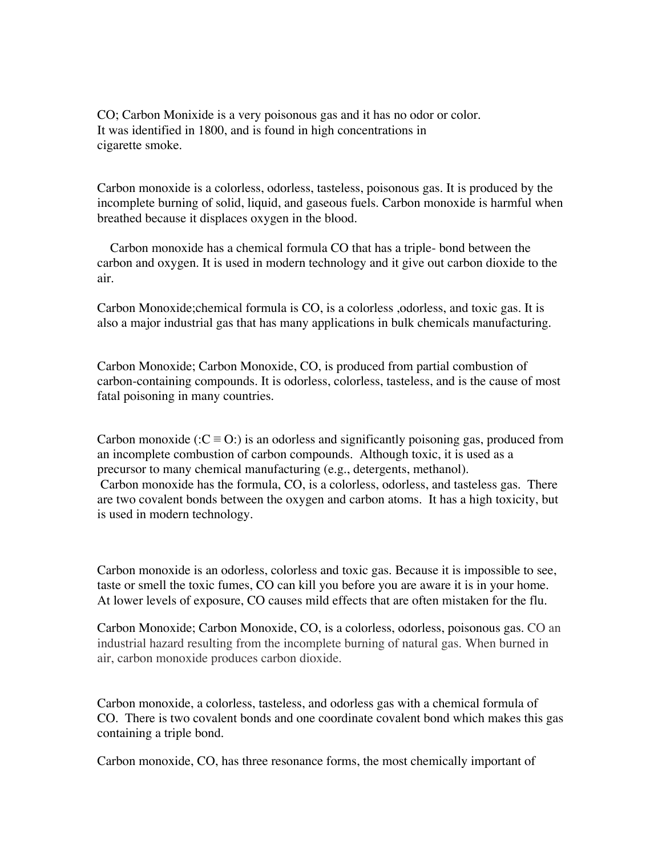CO; Carbon Monixide is a very poisonous gas and it has no odor or color. It was identified in 1800, and is found in high concentrations in cigarette smoke.

Carbon monoxide is a colorless, odorless, tasteless, poisonous gas. It is produced by the incomplete burning of solid, liquid, and gaseous fuels. Carbon monoxide is harmful when breathed because it displaces oxygen in the blood.

 Carbon monoxide has a chemical formula CO that has a triple- bond between the carbon and oxygen. It is used in modern technology and it give out carbon dioxide to the air.

Carbon Monoxide;chemical formula is CO, is a colorless ,odorless, and toxic gas. It is also a major industrial gas that has many applications in bulk chemicals manufacturing.

Carbon Monoxide; Carbon Monoxide, CO, is produced from partial combustion of carbon-containing compounds. It is odorless, colorless, tasteless, and is the cause of most fatal poisoning in many countries.

Carbon monoxide (: $C \equiv O$ :) is an odorless and significantly poisoning gas, produced from an incomplete combustion of carbon compounds. Although toxic, it is used as a precursor to many chemical manufacturing (e.g., detergents, methanol). Carbon monoxide has the formula, CO, is a colorless, odorless, and tasteless gas. There are two covalent bonds between the oxygen and carbon atoms. It has a high toxicity, but is used in modern technology.

Carbon monoxide is an odorless, colorless and toxic gas. Because it is impossible to see, taste or smell the toxic fumes, CO can kill you before you are aware it is in your home. At lower levels of exposure, CO causes mild effects that are often mistaken for the flu.

Carbon Monoxide; Carbon Monoxide, CO, is a colorless, odorless, poisonous gas. CO an industrial hazard resulting from the incomplete burning of natural gas. When burned in air, carbon monoxide produces carbon dioxide.

Carbon monoxide, a colorless, tasteless, and odorless gas with a chemical formula of CO. There is two covalent bonds and one coordinate covalent bond which makes this gas containing a triple bond.

Carbon monoxide, CO, has three resonance forms, the most chemically important of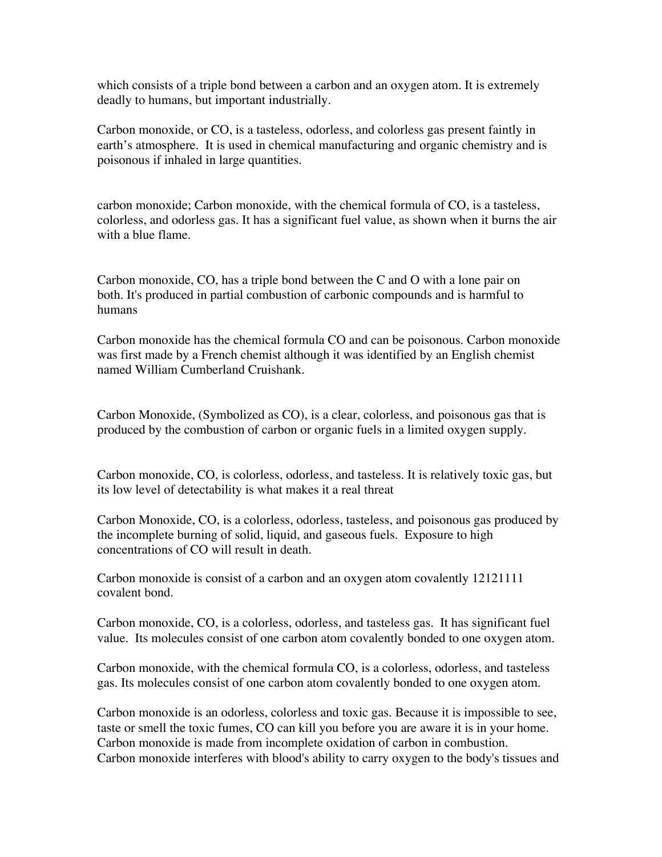which consists of a triple bond between a carbon and an oxygen atom. It is extremely deadly to humans, but important industrially.

Carbon monoxide, or CO, is a tasteless, odorless, and colorless gas present faintly in earth's atmosphere. It is used in chemical manufacturing and organic chemistry and is poisonous if inhaled in large quantities.

carbon monoxide; Carbon monoxide, with the chemical formula of CO, is a tasteless, colorless, and odorless gas. It has a significant fuel value, as shown when it burns the air with a blue flame.

Carbon monoxide, CO, has a triple bond between the C and O with a lone pair on both. It's produced in partial combustion of carbonic compounds and is harmful to humans

Carbon monoxide has the chemical formula CO and can be poisonous. Carbon monoxide was first made by a French chemist although it was identified by an English chemist named William Cumberland Cruishank.

Carbon Monoxide, (Symbolized as CO), is a clear, colorless, and poisonous gas that is produced by the combustion of carbon or organic fuels in a limited oxygen supply.

Carbon monoxide, CO, is colorless, odorless, and tasteless. It is relatively toxic gas, but its low level of detectability is what makes it a real threat

Carbon Monoxide, CO, is a colorless, odorless, tasteless, and poisonous gas produced by the incomplete burning of solid, liquid, and gaseous fuels. Exposure to high concentrations of CO will result in death.

Carbon monoxide is consist of a carbon and an oxygen atom covalently 12121111 covalent bond.

Carbon monoxide, CO, is a colorless, odorless, and tasteless gas. It has significant fuel value. Its molecules consist of one carbon atom covalently bonded to one oxygen atom.

Carbon monoxide, with the chemical formula CO, is a colorless, odorless, and tasteless gas. Its molecules consist of one carbon atom covalently bonded to one oxygen atom.

Carbon monoxide is an odorless, colorless and toxic gas. Because it is impossible to see, taste or smell the toxic fumes, CO can kill you before you are aware it is in your home. Carbon monoxide is made from incomplete oxidation of carbon in combustion. Carbon monoxide interferes with blood's ability to carry oxygen to the body's tissues and